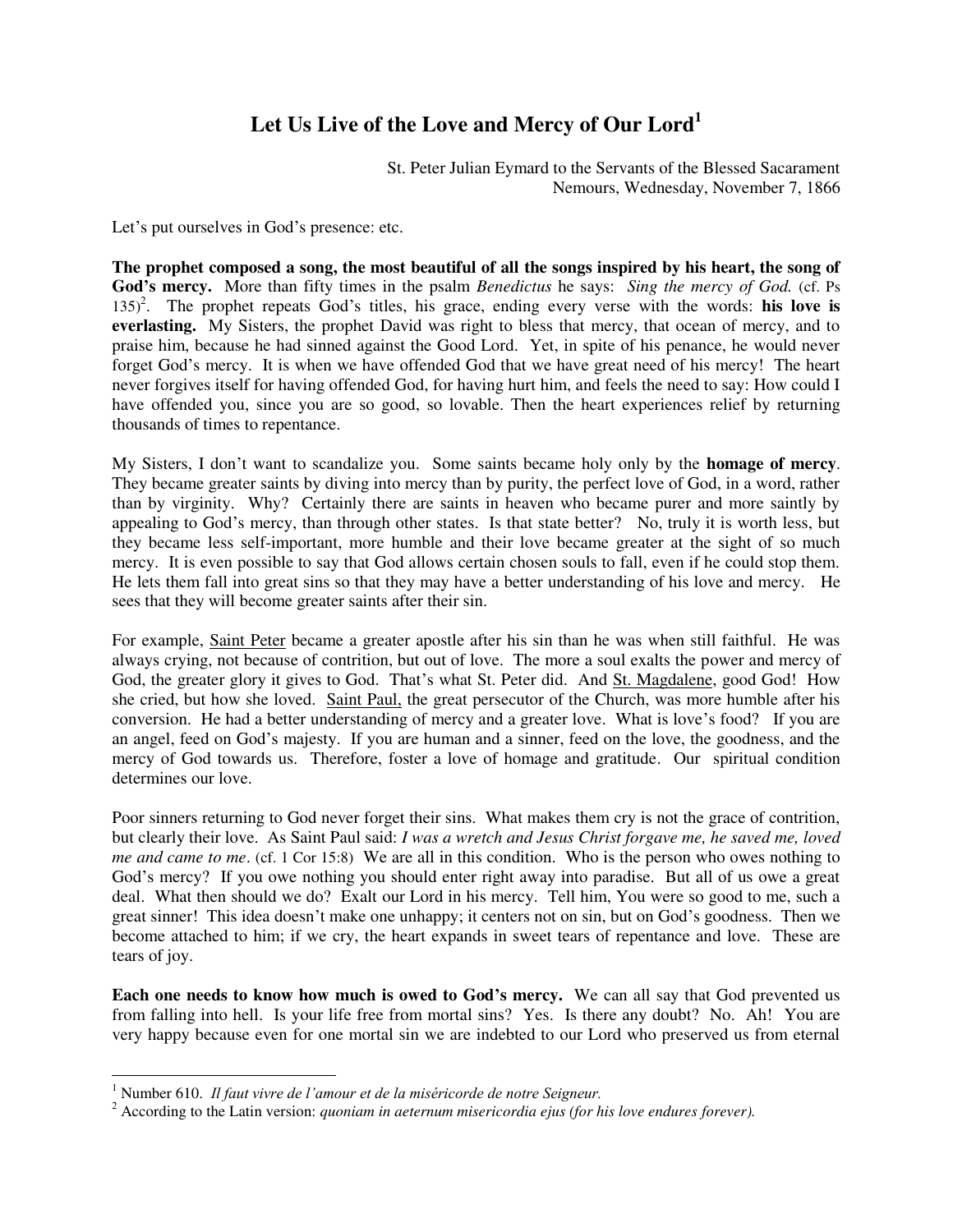## **Let Us Live of the Love and Mercy of Our Lord<sup>1</sup>**

St. Peter Julian Eymard to the Servants of the Blessed Sacarament Nemours, Wednesday, November 7, 1866

Let's put ourselves in God's presence: etc.

**The prophet composed a song, the most beautiful of all the songs inspired by his heart, the song of God's mercy.** More than fifty times in the psalm *Benedictus* he says: *Sing the mercy of God.* (cf. Ps 135)<sup>2</sup>. The prophet repeats God's titles, his grace, ending every verse with the words: his love is **everlasting.** My Sisters, the prophet David was right to bless that mercy, that ocean of mercy, and to praise him, because he had sinned against the Good Lord. Yet, in spite of his penance, he would never forget God's mercy. It is when we have offended God that we have great need of his mercy! The heart never forgives itself for having offended God, for having hurt him, and feels the need to say: How could I have offended you, since you are so good, so lovable. Then the heart experiences relief by returning thousands of times to repentance.

My Sisters, I don't want to scandalize you. Some saints became holy only by the **homage of mercy**. They became greater saints by diving into mercy than by purity, the perfect love of God, in a word, rather than by virginity. Why? Certainly there are saints in heaven who became purer and more saintly by appealing to God's mercy, than through other states. Is that state better? No, truly it is worth less, but they became less self-important, more humble and their love became greater at the sight of so much mercy. It is even possible to say that God allows certain chosen souls to fall, even if he could stop them. He lets them fall into great sins so that they may have a better understanding of his love and mercy. He sees that they will become greater saints after their sin.

For example, Saint Peter became a greater apostle after his sin than he was when still faithful. He was always crying, not because of contrition, but out of love. The more a soul exalts the power and mercy of God, the greater glory it gives to God. That's what St. Peter did. And St. Magdalene, good God! How she cried, but how she loved. Saint Paul, the great persecutor of the Church, was more humble after his conversion. He had a better understanding of mercy and a greater love. What is love's food? If you are an angel, feed on God's majesty. If you are human and a sinner, feed on the love, the goodness, and the mercy of God towards us. Therefore, foster a love of homage and gratitude. Our spiritual condition determines our love.

Poor sinners returning to God never forget their sins. What makes them cry is not the grace of contrition, but clearly their love. As Saint Paul said: *I was a wretch and Jesus Christ forgave me, he saved me, loved me and came to me.* (cf. 1 Cor 15:8) We are all in this condition. Who is the person who owes nothing to God's mercy? If you owe nothing you should enter right away into paradise. But all of us owe a great deal. What then should we do? Exalt our Lord in his mercy. Tell him, You were so good to me, such a great sinner! This idea doesn't make one unhappy; it centers not on sin, but on God's goodness. Then we become attached to him; if we cry, the heart expands in sweet tears of repentance and love. These are tears of joy.

**Each one needs to know how much is owed to God's mercy.** We can all say that God prevented us from falling into hell. Is your life free from mortal sins? Yes. Is there any doubt? No. Ah! You are very happy because even for one mortal sin we are indebted to our Lord who preserved us from eternal

 1 Number 610. *Il faut vivre de l'amour et de la miséricorde de notre Seigneur.*

<sup>2</sup> According to the Latin version: *quoniam in aeternum misericordia ejus (for his love endures forever).*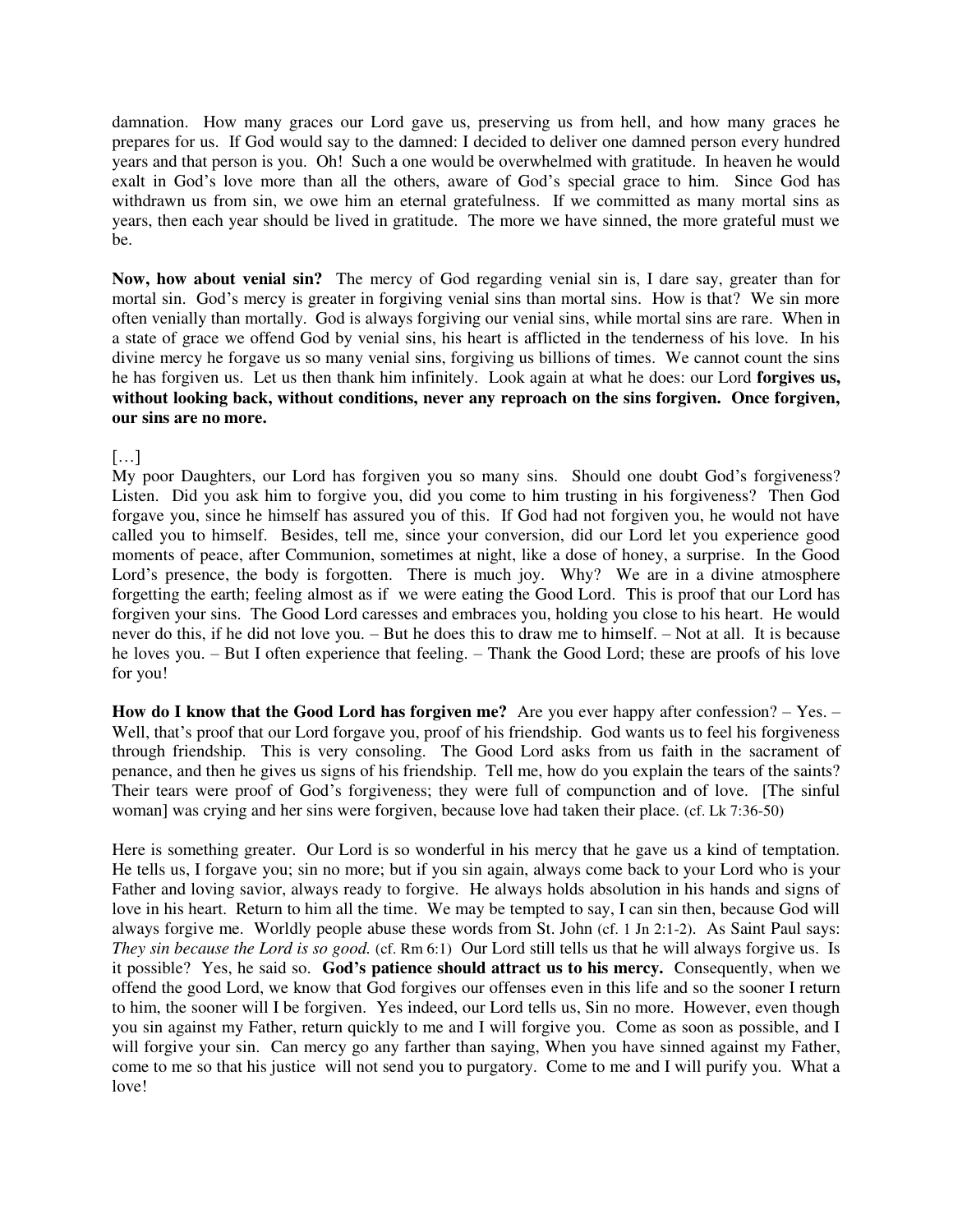damnation. How many graces our Lord gave us, preserving us from hell, and how many graces he prepares for us. If God would say to the damned: I decided to deliver one damned person every hundred years and that person is you. Oh! Such a one would be overwhelmed with gratitude. In heaven he would exalt in God's love more than all the others, aware of God's special grace to him. Since God has withdrawn us from sin, we owe him an eternal gratefulness. If we committed as many mortal sins as years, then each year should be lived in gratitude. The more we have sinned, the more grateful must we be.

**Now, how about venial sin?** The mercy of God regarding venial sin is, I dare say, greater than for mortal sin. God's mercy is greater in forgiving venial sins than mortal sins. How is that? We sin more often venially than mortally. God is always forgiving our venial sins, while mortal sins are rare. When in a state of grace we offend God by venial sins, his heart is afflicted in the tenderness of his love. In his divine mercy he forgave us so many venial sins, forgiving us billions of times. We cannot count the sins he has forgiven us. Let us then thank him infinitely. Look again at what he does: our Lord **forgives us, without looking back, without conditions, never any reproach on the sins forgiven. Once forgiven, our sins are no more.** 

 $[\dots]$ 

My poor Daughters, our Lord has forgiven you so many sins. Should one doubt God's forgiveness? Listen. Did you ask him to forgive you, did you come to him trusting in his forgiveness? Then God forgave you, since he himself has assured you of this. If God had not forgiven you, he would not have called you to himself. Besides, tell me, since your conversion, did our Lord let you experience good moments of peace, after Communion, sometimes at night, like a dose of honey, a surprise. In the Good Lord's presence, the body is forgotten. There is much joy. Why? We are in a divine atmosphere forgetting the earth; feeling almost as if we were eating the Good Lord. This is proof that our Lord has forgiven your sins. The Good Lord caresses and embraces you, holding you close to his heart. He would never do this, if he did not love you. – But he does this to draw me to himself. – Not at all. It is because he loves you. – But I often experience that feeling. – Thank the Good Lord; these are proofs of his love for you!

**How do I know that the Good Lord has forgiven me?** Are you ever happy after confession? – Yes. – Well, that's proof that our Lord forgave you, proof of his friendship. God wants us to feel his forgiveness through friendship. This is very consoling. The Good Lord asks from us faith in the sacrament of penance, and then he gives us signs of his friendship. Tell me, how do you explain the tears of the saints? Their tears were proof of God's forgiveness; they were full of compunction and of love. [The sinful woman] was crying and her sins were forgiven, because love had taken their place. (cf. Lk 7:36-50)

Here is something greater. Our Lord is so wonderful in his mercy that he gave us a kind of temptation. He tells us, I forgave you; sin no more; but if you sin again, always come back to your Lord who is your Father and loving savior, always ready to forgive. He always holds absolution in his hands and signs of love in his heart. Return to him all the time. We may be tempted to say, I can sin then, because God will always forgive me. Worldly people abuse these words from St. John (cf. 1 Jn 2:1-2). As Saint Paul says: *They sin because the Lord is so good.* (cf. Rm 6:1) Our Lord still tells us that he will always forgive us. Is it possible? Yes, he said so. **God's patience should attract us to his mercy.** Consequently, when we offend the good Lord, we know that God forgives our offenses even in this life and so the sooner I return to him, the sooner will I be forgiven. Yes indeed, our Lord tells us, Sin no more. However, even though you sin against my Father, return quickly to me and I will forgive you. Come as soon as possible, and I will forgive your sin. Can mercy go any farther than saying, When you have sinned against my Father, come to me so that his justice will not send you to purgatory. Come to me and I will purify you. What a love!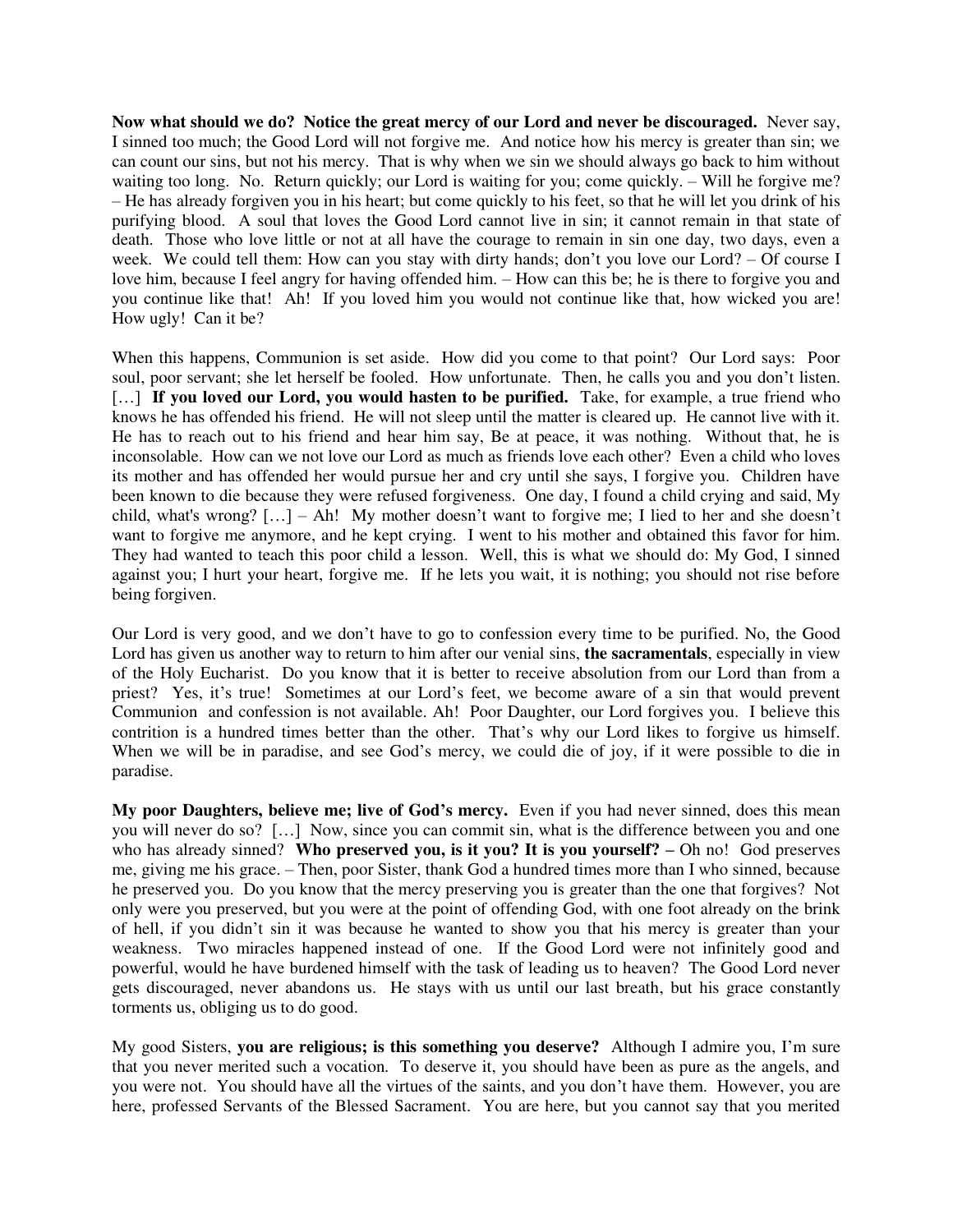**Now what should we do? Notice the great mercy of our Lord and never be discouraged.** Never say, I sinned too much; the Good Lord will not forgive me. And notice how his mercy is greater than sin; we can count our sins, but not his mercy. That is why when we sin we should always go back to him without waiting too long. No. Return quickly; our Lord is waiting for you; come quickly. – Will he forgive me? – He has already forgiven you in his heart; but come quickly to his feet, so that he will let you drink of his purifying blood. A soul that loves the Good Lord cannot live in sin; it cannot remain in that state of death. Those who love little or not at all have the courage to remain in sin one day, two days, even a week. We could tell them: How can you stay with dirty hands; don't you love our Lord? – Of course I love him, because I feel angry for having offended him. – How can this be; he is there to forgive you and you continue like that! Ah! If you loved him you would not continue like that, how wicked you are! How ugly! Can it be?

When this happens, Communion is set aside. How did you come to that point? Our Lord says: Poor soul, poor servant; she let herself be fooled. How unfortunate. Then, he calls you and you don't listen. [...] If you loved our Lord, you would hasten to be purified. Take, for example, a true friend who knows he has offended his friend. He will not sleep until the matter is cleared up. He cannot live with it. He has to reach out to his friend and hear him say, Be at peace, it was nothing. Without that, he is inconsolable. How can we not love our Lord as much as friends love each other? Even a child who loves its mother and has offended her would pursue her and cry until she says, I forgive you. Children have been known to die because they were refused forgiveness. One day, I found a child crying and said, My child, what's wrong? […] – Ah! My mother doesn't want to forgive me; I lied to her and she doesn't want to forgive me anymore, and he kept crying. I went to his mother and obtained this favor for him. They had wanted to teach this poor child a lesson. Well, this is what we should do: My God, I sinned against you; I hurt your heart, forgive me. If he lets you wait, it is nothing; you should not rise before being forgiven.

Our Lord is very good, and we don't have to go to confession every time to be purified. No, the Good Lord has given us another way to return to him after our venial sins, **the sacramentals**, especially in view of the Holy Eucharist. Do you know that it is better to receive absolution from our Lord than from a priest? Yes, it's true! Sometimes at our Lord's feet, we become aware of a sin that would prevent Communion and confession is not available. Ah! Poor Daughter, our Lord forgives you. I believe this contrition is a hundred times better than the other. That's why our Lord likes to forgive us himself. When we will be in paradise, and see God's mercy, we could die of joy, if it were possible to die in paradise.

**My poor Daughters, believe me; live of God's mercy.** Even if you had never sinned, does this mean you will never do so? […] Now, since you can commit sin, what is the difference between you and one who has already sinned? Who preserved you, is it you? It is you yourself? – Oh no! God preserves me, giving me his grace. – Then, poor Sister, thank God a hundred times more than I who sinned, because he preserved you. Do you know that the mercy preserving you is greater than the one that forgives? Not only were you preserved, but you were at the point of offending God, with one foot already on the brink of hell, if you didn't sin it was because he wanted to show you that his mercy is greater than your weakness. Two miracles happened instead of one. If the Good Lord were not infinitely good and powerful, would he have burdened himself with the task of leading us to heaven? The Good Lord never gets discouraged, never abandons us. He stays with us until our last breath, but his grace constantly torments us, obliging us to do good.

My good Sisters, **you are religious; is this something you deserve?** Although I admire you, I'm sure that you never merited such a vocation. To deserve it, you should have been as pure as the angels, and you were not. You should have all the virtues of the saints, and you don't have them. However, you are here, professed Servants of the Blessed Sacrament. You are here, but you cannot say that you merited